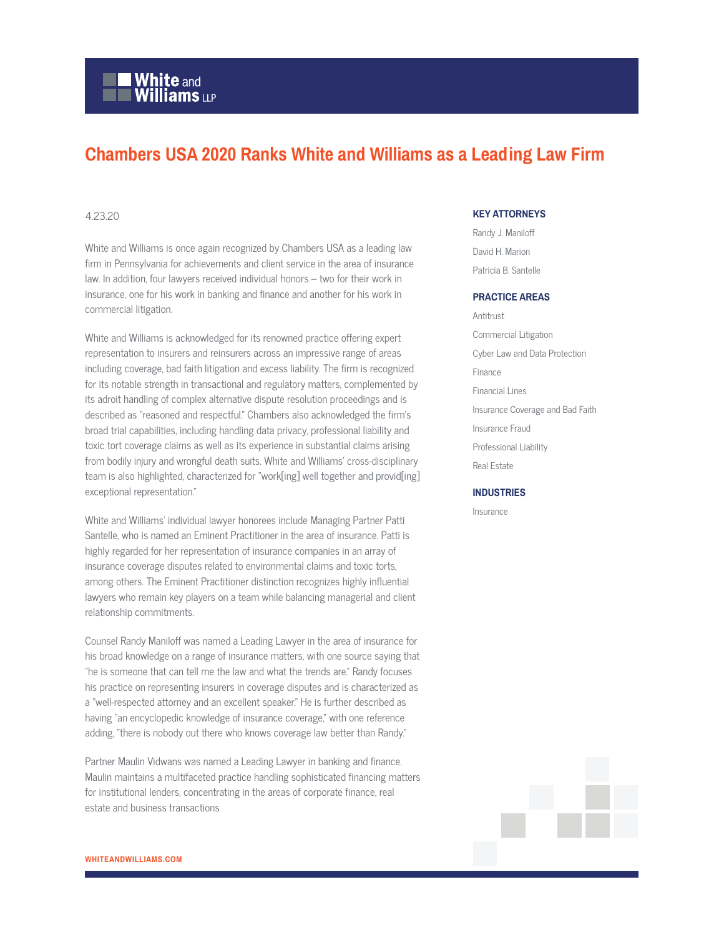# **White and Williams LLP**

# **Chambers USA 2020 Ranks White and Williams as a Leading Law Firm**

## 4.23.20

White and Williams is once again recognized by Chambers USA as a leading law firm in Pennsylvania for achievements and client service in the area of insurance law. In addition, four lawyers received individual honors – two for their work in insurance, one for his work in banking and finance and another for his work in commercial litigation.

White and Williams is acknowledged for its renowned practice offering expert representation to insurers and reinsurers across an impressive range of areas including coverage, bad faith litigation and excess liability. The firm is recognized for its notable strength in transactional and regulatory matters, complemented by its adroit handling of complex alternative dispute resolution proceedings and is described as "reasoned and respectful." Chambers also acknowledged the firm's broad trial capabilities, including handling data privacy, professional liability and toxic tort coverage claims as well as its experience in substantial claims arising from bodily injury and wrongful death suits. White and Williams' cross-disciplinary team is also highlighted, characterized for "work[ing] well together and provid[ing] exceptional representation."

White and Williams' individual lawyer honorees include Managing Partner Patti Santelle, who is named an Eminent Practitioner in the area of insurance. Patti is highly regarded for her representation of insurance companies in an array of insurance coverage disputes related to environmental claims and toxic torts, among others. The Eminent Practitioner distinction recognizes highly influential lawyers who remain key players on a team while balancing managerial and client relationship commitments.

Counsel Randy Maniloff was named a Leading Lawyer in the area of insurance for his broad knowledge on a range of insurance matters, with one source saying that "he is someone that can tell me the law and what the trends are." Randy focuses his practice on representing insurers in coverage disputes and is characterized as a "well-respected attorney and an excellent speaker." He is further described as having "an encyclopedic knowledge of insurance coverage," with one reference adding, "there is nobody out there who knows coverage law better than Randy."

Partner Maulin Vidwans was named a Leading Lawyer in banking and finance. Maulin maintains a multifaceted practice handling sophisticated financing matters for institutional lenders, concentrating in the areas of corporate finance, real estate and business transactions

## **KEY ATTORNEYS**

Randy J. Maniloff David H. Marion Patricia B. Santelle

#### **PRACTICE AREAS**

Antitrust Commercial Litigation Cyber Law and Data Protection Finance Financial Lines Insurance Coverage and Bad Faith Insurance Fraud Professional Liability Real Estate

#### **INDUSTRIES**

Insurance